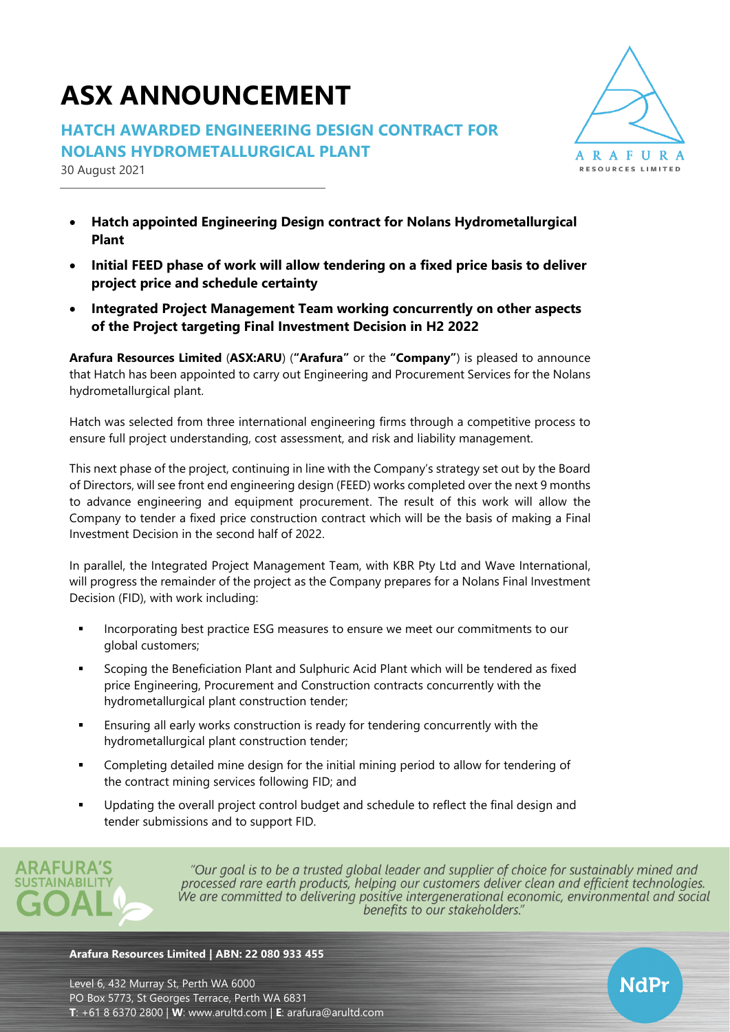# **ASX ANNOUNCEMENT**

**HATCH AWARDED ENGINEERING DESIGN CONTRACT FOR NOLANS HYDROMETALLURGICAL PLANT**

30 August 2021



NdPr

- **Hatch appointed Engineering Design contract for Nolans Hydrometallurgical Plant**
- **Initial FEED phase of work will allow tendering on a fixed price basis to deliver project price and schedule certainty**
- **Integrated Project Management Team working concurrently on other aspects of the Project targeting Final Investment Decision in H2 2022**

**Arafura Resources Limited** (**ASX:ARU**) (**"Arafura"** or the **"Company"**) is pleased to announce that Hatch has been appointed to carry out Engineering and Procurement Services for the Nolans hydrometallurgical plant.

Hatch was selected from three international engineering firms through a competitive process to ensure full project understanding, cost assessment, and risk and liability management.

This next phase of the project, continuing in line with the Company's strategy set out by the Board of Directors, will see front end engineering design (FEED) works completed over the next 9 months to advance engineering and equipment procurement. The result of this work will allow the Company to tender a fixed price construction contract which will be the basis of making a Final Investment Decision in the second half of 2022.

In parallel, the Integrated Project Management Team, with KBR Pty Ltd and Wave International, will progress the remainder of the project as the Company prepares for a Nolans Final Investment Decision (FID), with work including:

- **.** Incorporating best practice ESG measures to ensure we meet our commitments to our global customers;
- Scoping the Beneficiation Plant and Sulphuric Acid Plant which will be tendered as fixed price Engineering, Procurement and Construction contracts concurrently with the hydrometallurgical plant construction tender;
- **Ensuring all early works construction is ready for tendering concurrently with the** hydrometallurgical plant construction tender;
- **•** Completing detailed mine design for the initial mining period to allow for tendering of the contract mining services following FID; and
- Updating the overall project control budget and schedule to reflect the final design and tender submissions and to support FID.



"Our goal is to be a trusted global leader and supplier of choice for sustainably mined and processed rare earth products, helping our customers deliver clean and efficient technologies. We are committed to delivering positive intergenerational economic, environmental and social benefits to our stakeholders."

#### **Arafura Resources Limited | ABN: 22 080 933 455**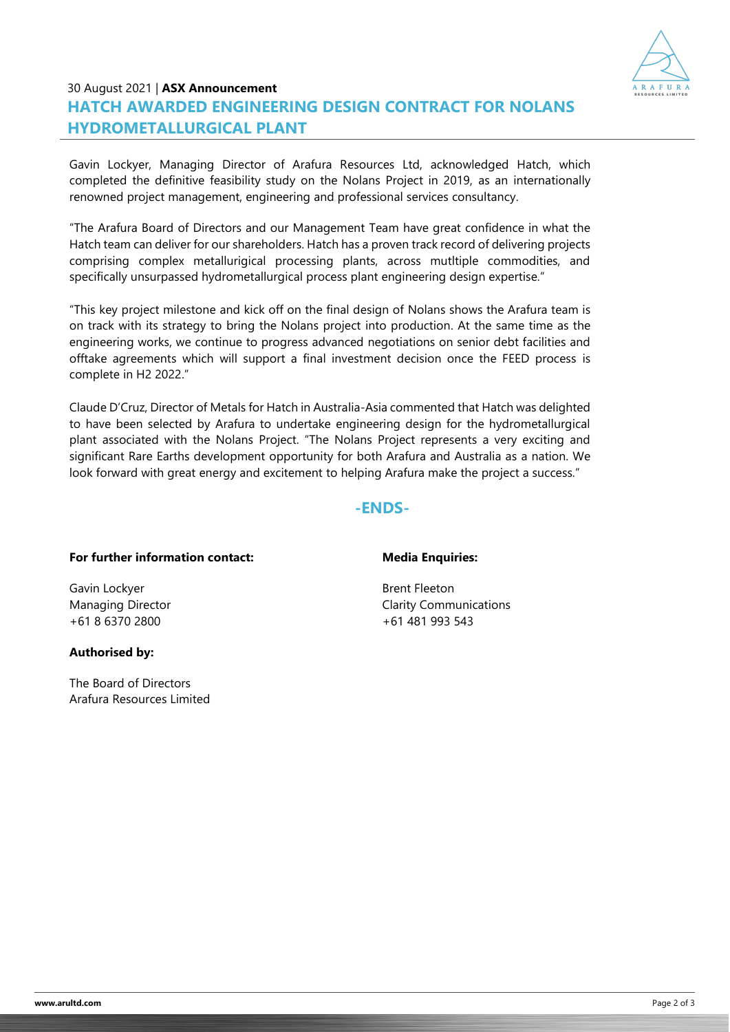

## 30 August 2021 | **ASX Announcement HATCH AWARDED ENGINEERING DESIGN CONTRACT FOR NOLANS HYDROMETALLURGICAL PLANT**

Gavin Lockyer, Managing Director of Arafura Resources Ltd, acknowledged Hatch, which completed the definitive feasibility study on the Nolans Project in 2019, as an internationally renowned project management, engineering and professional services consultancy.

"The Arafura Board of Directors and our Management Team have great confidence in what the Hatch team can deliver for our shareholders. Hatch has a proven track record of delivering projects comprising complex metallurigical processing plants, across mutltiple commodities, and specifically unsurpassed hydrometallurgical process plant engineering design expertise."

"This key project milestone and kick off on the final design of Nolans shows the Arafura team is on track with its strategy to bring the Nolans project into production. At the same time as the engineering works, we continue to progress advanced negotiations on senior debt facilities and offtake agreements which will support a final investment decision once the FEED process is complete in H2 2022."

Claude D'Cruz, Director of Metals for Hatch in Australia-Asia commented that Hatch was delighted to have been selected by Arafura to undertake engineering design for the hydrometallurgical plant associated with the Nolans Project. "The Nolans Project represents a very exciting and significant Rare Earths development opportunity for both Arafura and Australia as a nation. We look forward with great energy and excitement to helping Arafura make the project a success."

### **-ENDS-**

#### **For further information contact:**

Gavin Lockyer Managing Director +61 8 6370 2800

#### **Authorised by:**

The Board of Directors Arafura Resources Limited

#### **Media Enquiries:**

Brent Fleeton Clarity Communications +61 481 993 543